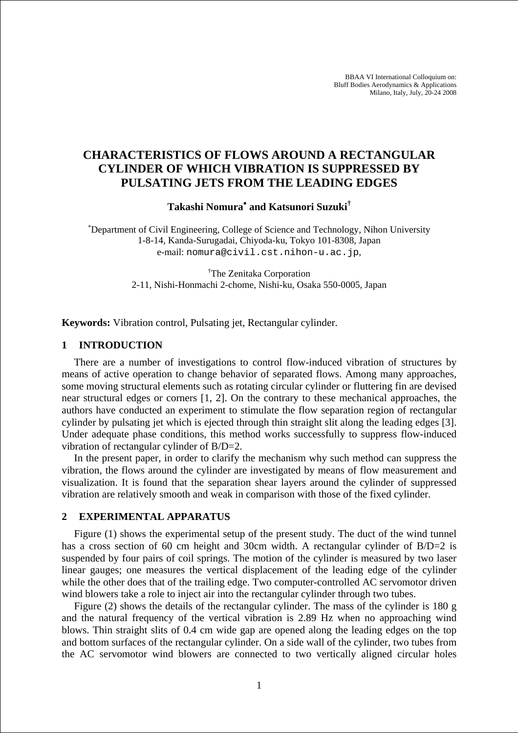BBAA VI International Colloquium on: Bluff Bodies Aerodynamics & Applications Milano, Italy, July, 20-24 2008

# **CHARACTERISTICS OF FLOWS AROUND A RECTANGULAR CYLINDER OF WHICH VIBRATION IS SUPPRESSED BY PULSATING JETS FROM THE LEADING EDGES**

**Takashi Nomura**<sup>∗</sup>  **and Katsunori Suzuki†**

∗ Department of Civil Engineering, College of Science and Technology, Nihon University 1-8-14, Kanda-Surugadai, Chiyoda-ku, Tokyo 101-8308, Japan e-mail: nomura@civil.cst.nihon-u.ac.jp,

> † The Zenitaka Corporation 2-11, Nishi-Honmachi 2-chome, Nishi-ku, Osaka 550-0005, Japan

**Keywords:** Vibration control, Pulsating jet, Rectangular cylinder.

## **1 INTRODUCTION**

There are a number of investigations to control flow-induced vibration of structures by means of active operation to change behavior of separated flows. Among many approaches, some moving structural elements such as rotating circular cylinder or fluttering fin are devised near structural edges or corners [1, 2]. On the contrary to these mechanical approaches, the authors have conducted an experiment to stimulate the flow separation region of rectangular cylinder by pulsating jet which is ejected through thin straight slit along the leading edges [3]. Under adequate phase conditions, this method works successfully to suppress flow-induced vibration of rectangular cylinder of B/D=2.

In the present paper, in order to clarify the mechanism why such method can suppress the vibration, the flows around the cylinder are investigated by means of flow measurement and visualization. It is found that the separation shear layers around the cylinder of suppressed vibration are relatively smooth and weak in comparison with those of the fixed cylinder.

#### **2 EXPERIMENTAL APPARATUS**

Figure (1) shows the experimental setup of the present study. The duct of the wind tunnel has a cross section of 60 cm height and 30cm width. A rectangular cylinder of B/D=2 is suspended by four pairs of coil springs. The motion of the cylinder is measured by two laser linear gauges; one measures the vertical displacement of the leading edge of the cylinder while the other does that of the trailing edge. Two computer-controlled AC servomotor driven wind blowers take a role to inject air into the rectangular cylinder through two tubes.

Figure (2) shows the details of the rectangular cylinder. The mass of the cylinder is 180 g and the natural frequency of the vertical vibration is 2.89 Hz when no approaching wind blows. Thin straight slits of 0.4 cm wide gap are opened along the leading edges on the top and bottom surfaces of the rectangular cylinder. On a side wall of the cylinder, two tubes from the AC servomotor wind blowers are connected to two vertically aligned circular holes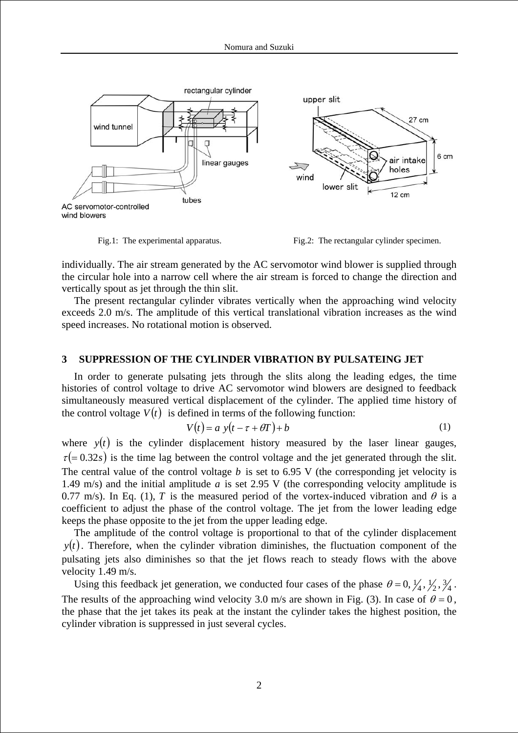

Fig.1: The experimental apparatus. Fig.2: The rectangular cylinder specimen.

individually. The air stream generated by the AC servomotor wind blower is supplied through the circular hole into a narrow cell where the air stream is forced to change the direction and vertically spout as jet through the thin slit.

The present rectangular cylinder vibrates vertically when the approaching wind velocity exceeds 2.0 m/s. The amplitude of this vertical translational vibration increases as the wind speed increases. No rotational motion is observed.

## **3 SUPPRESSION OF THE CYLINDER VIBRATION BY PULSATEING JET**

In order to generate pulsating jets through the slits along the leading edges, the time histories of control voltage to drive AC servomotor wind blowers are designed to feedback simultaneously measured vertical displacement of the cylinder. The applied time history of the control voltage  $V(t)$  is defined in terms of the following function:

$$
V(t) = a y(t - \tau + \theta T) + b
$$
 (1)

where  $y(t)$  is the cylinder displacement history measured by the laser linear gauges,  $\tau (= 0.32s)$  is the time lag between the control voltage and the jet generated through the slit. The central value of the control voltage *b* is set to 6.95 V (the corresponding jet velocity is 1.49 m/s) and the initial amplitude *a* is set 2.95 V (the corresponding velocity amplitude is 0.77 m/s). In Eq. (1), *T* is the measured period of the vortex-induced vibration and  $\theta$  is a coefficient to adjust the phase of the control voltage. The jet from the lower leading edge keeps the phase opposite to the jet from the upper leading edge.

The amplitude of the control voltage is proportional to that of the cylinder displacement  $y(t)$ . Therefore, when the cylinder vibration diminishes, the fluctuation component of the pulsating jets also diminishes so that the jet flows reach to steady flows with the above velocity 1.49 m/s.

Using this feedback jet generation, we conducted four cases of the phase  $\theta = 0, \frac{1}{4}, \frac{1}{2}, \frac{3}{4}$ . The results of the approaching wind velocity 3.0 m/s are shown in Fig. (3). In case of  $\theta = 0$ , the phase that the jet takes its peak at the instant the cylinder takes the highest position, the cylinder vibration is suppressed in just several cycles.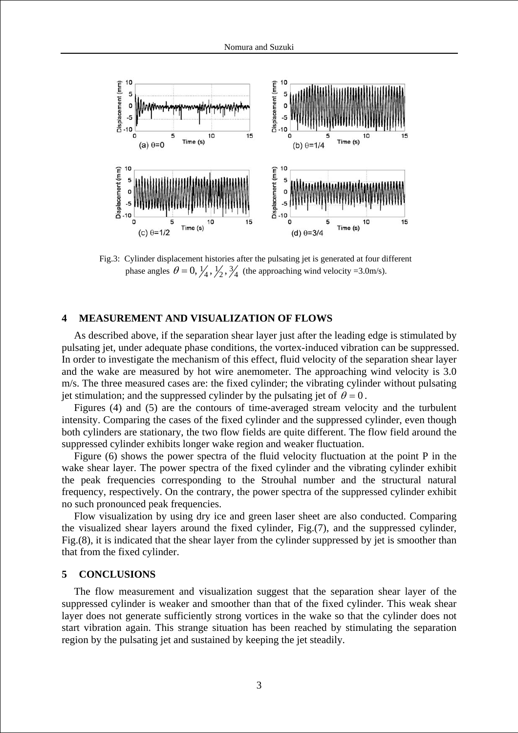

Fig.3: Cylinder displacement histories after the pulsating jet is generated at four different phase angles  $\theta = 0$ ,  $\frac{1}{4}$ ,  $\frac{1}{2}$ ,  $\frac{3}{4}$  (the approaching wind velocity =3.0m/s).

## **4 MEASUREMENT AND VISUALIZATION OF FLOWS**

As described above, if the separation shear layer just after the leading edge is stimulated by pulsating jet, under adequate phase conditions, the vortex-induced vibration can be suppressed. In order to investigate the mechanism of this effect, fluid velocity of the separation shear layer and the wake are measured by hot wire anemometer. The approaching wind velocity is 3.0 m/s. The three measured cases are: the fixed cylinder; the vibrating cylinder without pulsating jet stimulation; and the suppressed cylinder by the pulsating jet of  $\theta = 0$ .

Figures (4) and (5) are the contours of time-averaged stream velocity and the turbulent intensity. Comparing the cases of the fixed cylinder and the suppressed cylinder, even though both cylinders are stationary, the two flow fields are quite different. The flow field around the suppressed cylinder exhibits longer wake region and weaker fluctuation.

Figure (6) shows the power spectra of the fluid velocity fluctuation at the point P in the wake shear layer. The power spectra of the fixed cylinder and the vibrating cylinder exhibit the peak frequencies corresponding to the Strouhal number and the structural natural frequency, respectively. On the contrary, the power spectra of the suppressed cylinder exhibit no such pronounced peak frequencies.

Flow visualization by using dry ice and green laser sheet are also conducted. Comparing the visualized shear layers around the fixed cylinder, Fig.(7), and the suppressed cylinder, Fig.(8), it is indicated that the shear layer from the cylinder suppressed by jet is smoother than that from the fixed cylinder.

#### **5 CONCLUSIONS**

The flow measurement and visualization suggest that the separation shear layer of the suppressed cylinder is weaker and smoother than that of the fixed cylinder. This weak shear layer does not generate sufficiently strong vortices in the wake so that the cylinder does not start vibration again. This strange situation has been reached by stimulating the separation region by the pulsating jet and sustained by keeping the jet steadily.